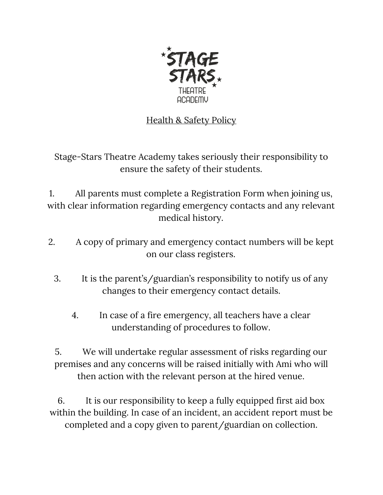

## Health & Safety Policy

Stage-Stars Theatre Academy takes seriously their responsibility to ensure the safety of their students.

1. All parents must complete a Registration Form when joining us, with clear information regarding emergency contacts and any relevant medical history.

- 2. A copy of primary and emergency contact numbers will be kept on our class registers.
	- 3. It is the parent's/guardian's responsibility to notify us of any changes to their emergency contact details.
		- 4. In case of a fire emergency, all teachers have a clear understanding of procedures to follow.

5. We will undertake regular assessment of risks regarding our premises and any concerns will be raised initially with Ami who will then action with the relevant person at the hired venue.

6. It is our responsibility to keep a fully equipped first aid box within the building. In case of an incident, an accident report must be completed and a copy given to parent/guardian on collection.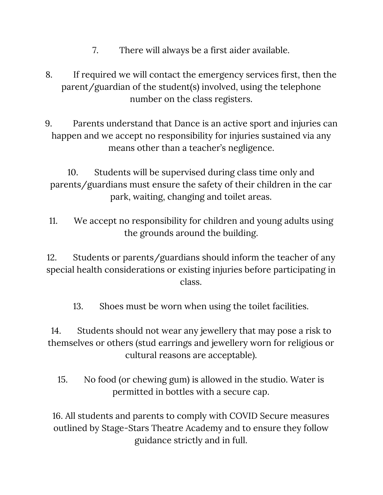- 7. There will always be a first aider available.
- 8. If required we will contact the emergency services first, then the parent/guardian of the student(s) involved, using the telephone number on the class registers.
- 9. Parents understand that Dance is an active sport and injuries can happen and we accept no responsibility for injuries sustained via any means other than a teacher's negligence.

10. Students will be supervised during class time only and parents/guardians must ensure the safety of their children in the car park, waiting, changing and toilet areas.

11. We accept no responsibility for children and young adults using the grounds around the building.

12. Students or parents/guardians should inform the teacher of any special health considerations or existing injuries before participating in class.

13. Shoes must be worn when using the toilet facilities.

14. Students should not wear any jewellery that may pose a risk to themselves or others (stud earrings and jewellery worn for religious or cultural reasons are acceptable).

15. No food (or chewing gum) is allowed in the studio. Water is permitted in bottles with a secure cap.

16. All students and parents to comply with COVID Secure measures outlined by Stage-Stars Theatre Academy and to ensure they follow guidance strictly and in full.